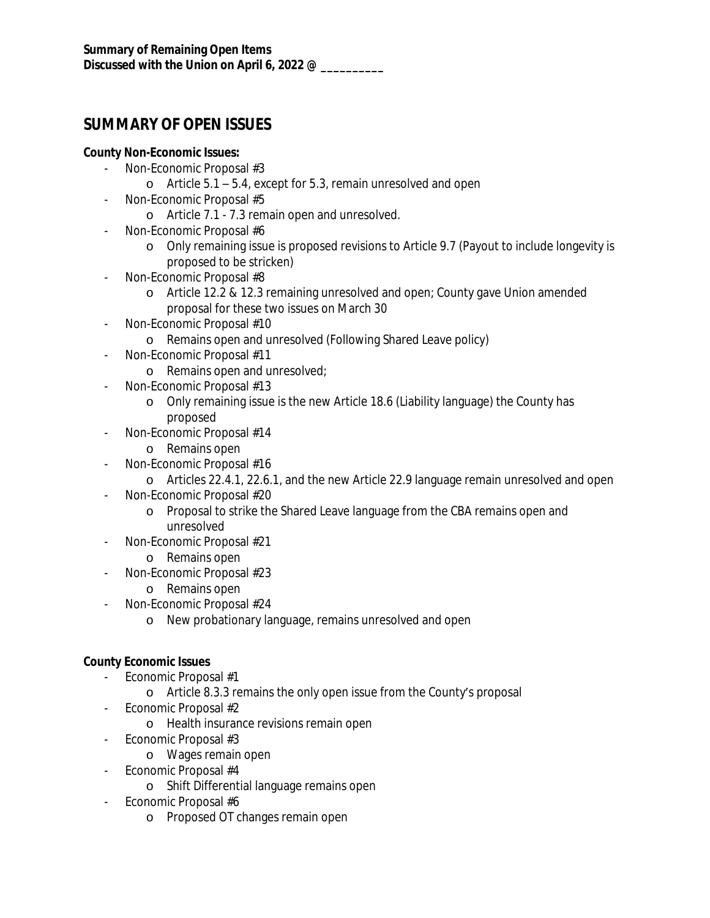# **SUMMARY OF OPEN ISSUES**

## **County Non-Economic Issues:**

- Non-Economic Proposal #3
	- o Article 5.1 5.4, except for 5.3, remain unresolved and open
- Non-Economic Proposal #5
	- o Article 7.1 7.3 remain open and unresolved.
- Non-Economic Proposal #6
	- o Only remaining issue is proposed revisions to Article 9.7 (Payout to include longevity is proposed to be stricken)
- Non-Economic Proposal #8
	- o Article 12.2 & 12.3 remaining unresolved and open; County gave Union amended proposal for these two issues on March 30
- Non-Economic Proposal #10
	- o Remains open and unresolved (Following Shared Leave policy)
- Non-Economic Proposal #11
	- o Remains open and unresolved;
- Non-Economic Proposal #13
	- o Only remaining issue is the new Article 18.6 (Liability language) the County has proposed
- Non-Economic Proposal #14
	- o Remains open
- Non-Economic Proposal #16
	- o Articles 22.4.1, 22.6.1, and the new Article 22.9 language remain unresolved and open
- Non-Economic Proposal #20
	- o Proposal to strike the Shared Leave language from the CBA remains open and unresolved
- Non-Economic Proposal #21
	- o Remains open
- Non-Economic Proposal #23
	- o Remains open
- Non-Economic Proposal #24
	- o New probationary language, remains unresolved and open

#### **County Economic Issues**

- Economic Proposal #1
	- o Article 8.3.3 remains the only open issue from the County's proposal
- Economic Proposal #2
	- o Health insurance revisions remain open
- Economic Proposal #3
	- o Wages remain open
- Economic Proposal #4
	- o Shift Differential language remains open
- Economic Proposal #6
	- o Proposed OT changes remain open